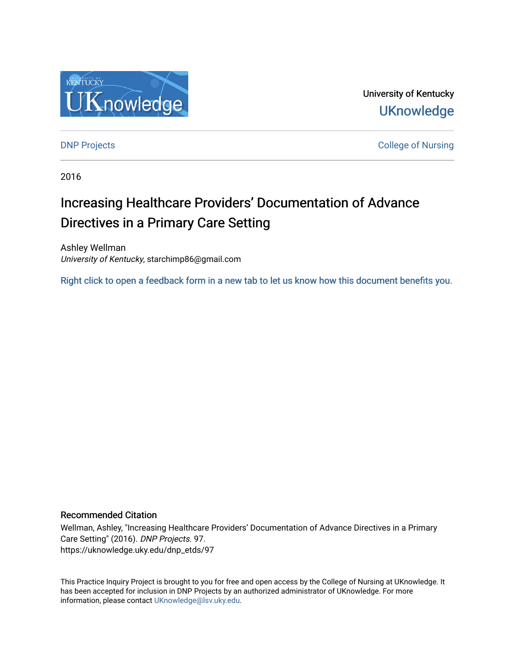

University of Kentucky **UKnowledge** 

[DNP Projects](https://uknowledge.uky.edu/dnp_etds) **College of Nursing** 

2016

# Increasing Healthcare Providers' Documentation of Advance Directives in a Primary Care Setting

Ashley Wellman University of Kentucky, starchimp86@gmail.com

[Right click to open a feedback form in a new tab to let us know how this document benefits you.](https://uky.az1.qualtrics.com/jfe/form/SV_9mq8fx2GnONRfz7)

### Recommended Citation

Wellman, Ashley, "Increasing Healthcare Providers' Documentation of Advance Directives in a Primary Care Setting" (2016). DNP Projects. 97. https://uknowledge.uky.edu/dnp\_etds/97

This Practice Inquiry Project is brought to you for free and open access by the College of Nursing at UKnowledge. It has been accepted for inclusion in DNP Projects by an authorized administrator of UKnowledge. For more information, please contact [UKnowledge@lsv.uky.edu](mailto:UKnowledge@lsv.uky.edu).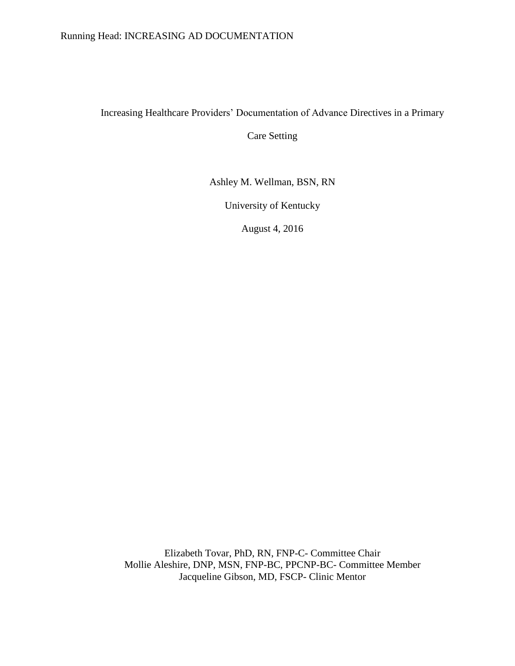### Running Head: INCREASING AD DOCUMENTATION

# Increasing Healthcare Providers' Documentation of Advance Directives in a Primary

Care Setting

Ashley M. Wellman, BSN, RN

University of Kentucky

August 4, 2016

Elizabeth Tovar, PhD, RN, FNP-C- Committee Chair Mollie Aleshire, DNP, MSN, FNP-BC, PPCNP-BC- Committee Member Jacqueline Gibson, MD, FSCP- Clinic Mentor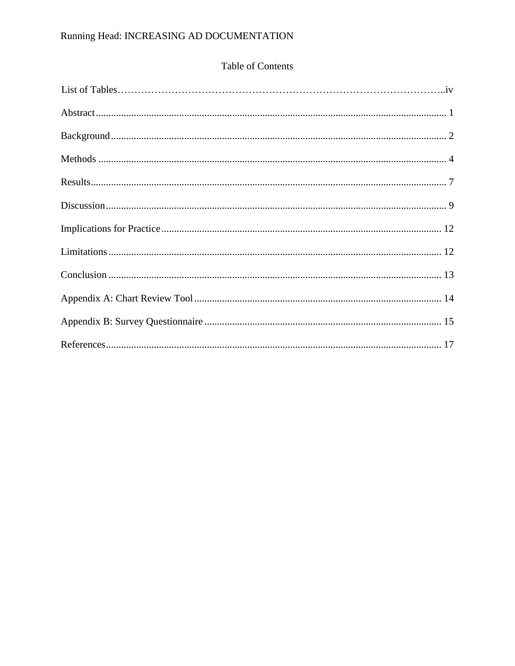# Running Head: INCREASING AD DOCUMENTATION

# Table of Contents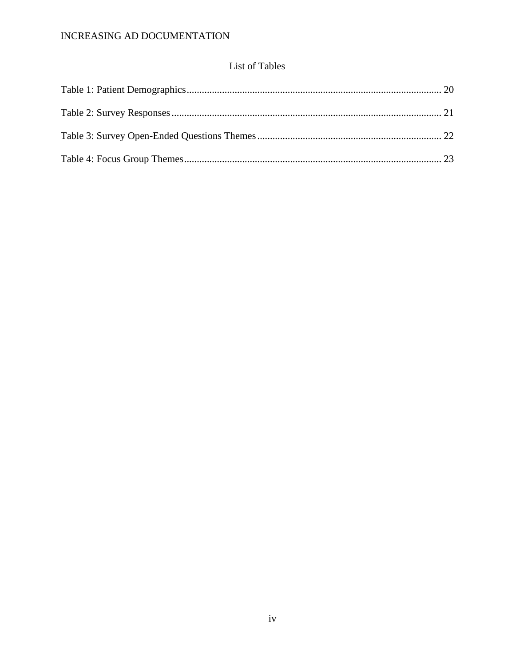# **List of Tables**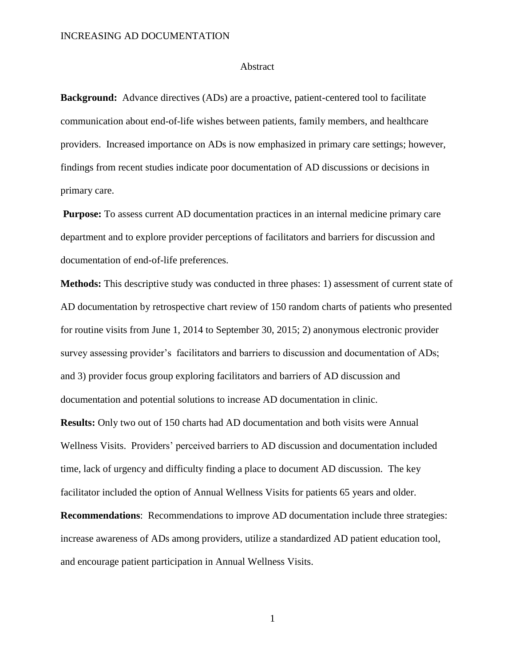#### Abstract

**Background:** Advance directives (ADs) are a proactive, patient-centered tool to facilitate communication about end-of-life wishes between patients, family members, and healthcare providers. Increased importance on ADs is now emphasized in primary care settings; however, findings from recent studies indicate poor documentation of AD discussions or decisions in primary care.

**Purpose:** To assess current AD documentation practices in an internal medicine primary care department and to explore provider perceptions of facilitators and barriers for discussion and documentation of end-of-life preferences.

**Methods:** This descriptive study was conducted in three phases: 1) assessment of current state of AD documentation by retrospective chart review of 150 random charts of patients who presented for routine visits from June 1, 2014 to September 30, 2015; 2) anonymous electronic provider survey assessing provider's facilitators and barriers to discussion and documentation of ADs; and 3) provider focus group exploring facilitators and barriers of AD discussion and documentation and potential solutions to increase AD documentation in clinic.

**Results:** Only two out of 150 charts had AD documentation and both visits were Annual Wellness Visits. Providers' perceived barriers to AD discussion and documentation included time, lack of urgency and difficulty finding a place to document AD discussion. The key facilitator included the option of Annual Wellness Visits for patients 65 years and older.

**Recommendations**: Recommendations to improve AD documentation include three strategies: increase awareness of ADs among providers, utilize a standardized AD patient education tool, and encourage patient participation in Annual Wellness Visits.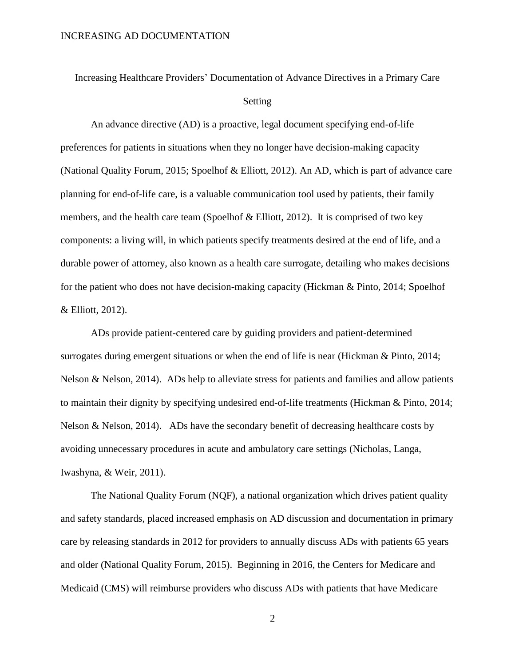# Increasing Healthcare Providers' Documentation of Advance Directives in a Primary Care Setting

An advance directive (AD) is a proactive, legal document specifying end-of-life preferences for patients in situations when they no longer have decision-making capacity (National Quality Forum, 2015; Spoelhof & Elliott, 2012). An AD, which is part of advance care planning for end-of-life care, is a valuable communication tool used by patients, their family members, and the health care team (Spoelhof  $&$  Elliott, 2012). It is comprised of two key components: a living will, in which patients specify treatments desired at the end of life, and a durable power of attorney, also known as a health care surrogate, detailing who makes decisions for the patient who does not have decision-making capacity (Hickman & Pinto, 2014; Spoelhof & Elliott, 2012).

ADs provide patient-centered care by guiding providers and patient-determined surrogates during emergent situations or when the end of life is near (Hickman & Pinto, 2014; Nelson & Nelson, 2014). ADs help to alleviate stress for patients and families and allow patients to maintain their dignity by specifying undesired end-of-life treatments (Hickman & Pinto, 2014; Nelson & Nelson, 2014). ADs have the secondary benefit of decreasing healthcare costs by avoiding unnecessary procedures in acute and ambulatory care settings (Nicholas, Langa, Iwashyna, & Weir, 2011).

The National Quality Forum (NQF), a national organization which drives patient quality and safety standards, placed increased emphasis on AD discussion and documentation in primary care by releasing standards in 2012 for providers to annually discuss ADs with patients 65 years and older (National Quality Forum, 2015). Beginning in 2016, the Centers for Medicare and Medicaid (CMS) will reimburse providers who discuss ADs with patients that have Medicare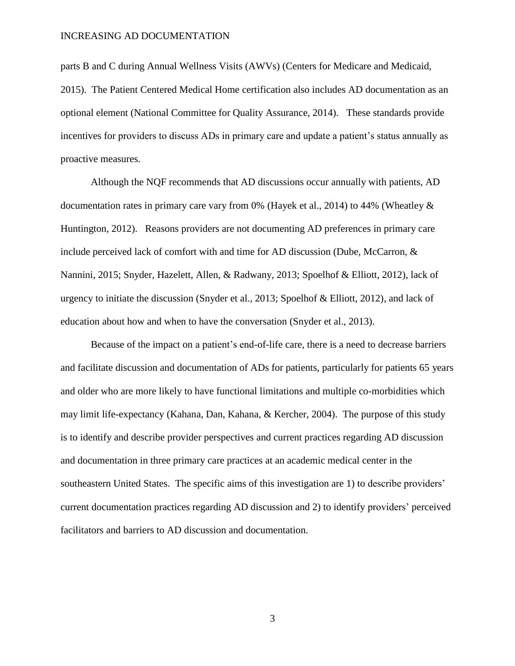parts B and C during Annual Wellness Visits (AWVs) (Centers for Medicare and Medicaid,

2015). The Patient Centered Medical Home certification also includes AD documentation as an optional element (National Committee for Quality Assurance, 2014). These standards provide incentives for providers to discuss ADs in primary care and update a patient's status annually as proactive measures.

Although the NQF recommends that AD discussions occur annually with patients, AD documentation rates in primary care vary from 0% (Hayek et al., 2014) to 44% (Wheatley & Huntington, 2012). Reasons providers are not documenting AD preferences in primary care include perceived lack of comfort with and time for AD discussion (Dube, McCarron, & Nannini, 2015; Snyder, Hazelett, Allen, & Radwany, 2013; Spoelhof & Elliott, 2012), lack of urgency to initiate the discussion (Snyder et al., 2013; Spoelhof & Elliott, 2012), and lack of education about how and when to have the conversation (Snyder et al., 2013).

Because of the impact on a patient's end-of-life care, there is a need to decrease barriers and facilitate discussion and documentation of ADs for patients, particularly for patients 65 years and older who are more likely to have functional limitations and multiple co-morbidities which may limit life-expectancy (Kahana, Dan, Kahana, & Kercher, 2004). The purpose of this study is to identify and describe provider perspectives and current practices regarding AD discussion and documentation in three primary care practices at an academic medical center in the southeastern United States. The specific aims of this investigation are 1) to describe providers' current documentation practices regarding AD discussion and 2) to identify providers' perceived facilitators and barriers to AD discussion and documentation.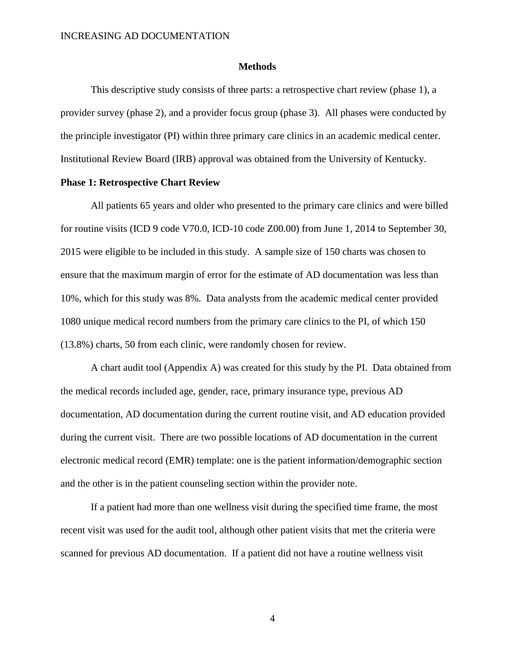#### **Methods**

This descriptive study consists of three parts: a retrospective chart review (phase 1), a provider survey (phase 2), and a provider focus group (phase 3). All phases were conducted by the principle investigator (PI) within three primary care clinics in an academic medical center. Institutional Review Board (IRB) approval was obtained from the University of Kentucky.

### **Phase 1: Retrospective Chart Review**

All patients 65 years and older who presented to the primary care clinics and were billed for routine visits (ICD 9 code V70.0, ICD-10 code Z00.00) from June 1, 2014 to September 30, 2015 were eligible to be included in this study. A sample size of 150 charts was chosen to ensure that the maximum margin of error for the estimate of AD documentation was less than 10%, which for this study was 8%. Data analysts from the academic medical center provided 1080 unique medical record numbers from the primary care clinics to the PI, of which 150 (13.8%) charts, 50 from each clinic, were randomly chosen for review.

A chart audit tool (Appendix A) was created for this study by the PI. Data obtained from the medical records included age, gender, race, primary insurance type, previous AD documentation, AD documentation during the current routine visit, and AD education provided during the current visit. There are two possible locations of AD documentation in the current electronic medical record (EMR) template: one is the patient information/demographic section and the other is in the patient counseling section within the provider note.

If a patient had more than one wellness visit during the specified time frame, the most recent visit was used for the audit tool, although other patient visits that met the criteria were scanned for previous AD documentation. If a patient did not have a routine wellness visit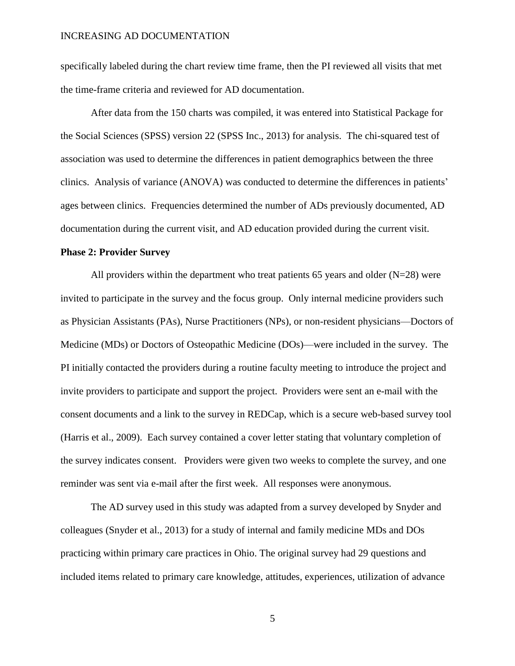specifically labeled during the chart review time frame, then the PI reviewed all visits that met the time-frame criteria and reviewed for AD documentation.

After data from the 150 charts was compiled, it was entered into Statistical Package for the Social Sciences (SPSS) version 22 (SPSS Inc., 2013) for analysis. The chi-squared test of association was used to determine the differences in patient demographics between the three clinics. Analysis of variance (ANOVA) was conducted to determine the differences in patients' ages between clinics. Frequencies determined the number of ADs previously documented, AD documentation during the current visit, and AD education provided during the current visit.

#### **Phase 2: Provider Survey**

All providers within the department who treat patients 65 years and older  $(N=28)$  were invited to participate in the survey and the focus group. Only internal medicine providers such as Physician Assistants (PAs), Nurse Practitioners (NPs), or non-resident physicians—Doctors of Medicine (MDs) or Doctors of Osteopathic Medicine (DOs)—were included in the survey. The PI initially contacted the providers during a routine faculty meeting to introduce the project and invite providers to participate and support the project. Providers were sent an e-mail with the consent documents and a link to the survey in REDCap, which is a secure web-based survey tool (Harris et al., 2009). Each survey contained a cover letter stating that voluntary completion of the survey indicates consent. Providers were given two weeks to complete the survey, and one reminder was sent via e-mail after the first week. All responses were anonymous.

The AD survey used in this study was adapted from a survey developed by Snyder and colleagues (Snyder et al., 2013) for a study of internal and family medicine MDs and DOs practicing within primary care practices in Ohio. The original survey had 29 questions and included items related to primary care knowledge, attitudes, experiences, utilization of advance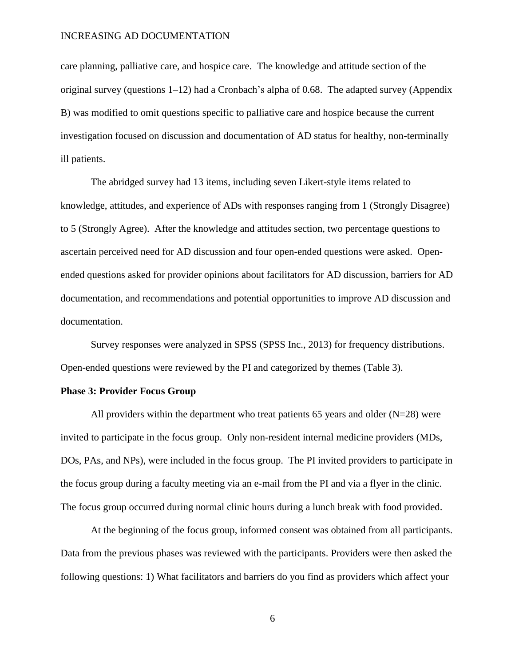care planning, palliative care, and hospice care. The knowledge and attitude section of the original survey (questions 1–12) had a Cronbach's alpha of 0.68. The adapted survey (Appendix B) was modified to omit questions specific to palliative care and hospice because the current investigation focused on discussion and documentation of AD status for healthy, non-terminally ill patients.

The abridged survey had 13 items, including seven Likert-style items related to knowledge, attitudes, and experience of ADs with responses ranging from 1 (Strongly Disagree) to 5 (Strongly Agree). After the knowledge and attitudes section, two percentage questions to ascertain perceived need for AD discussion and four open-ended questions were asked. Openended questions asked for provider opinions about facilitators for AD discussion, barriers for AD documentation, and recommendations and potential opportunities to improve AD discussion and documentation.

Survey responses were analyzed in SPSS (SPSS Inc., 2013) for frequency distributions. Open-ended questions were reviewed by the PI and categorized by themes (Table 3).

#### **Phase 3: Provider Focus Group**

All providers within the department who treat patients 65 years and older  $(N=28)$  were invited to participate in the focus group. Only non-resident internal medicine providers (MDs, DOs, PAs, and NPs), were included in the focus group. The PI invited providers to participate in the focus group during a faculty meeting via an e-mail from the PI and via a flyer in the clinic. The focus group occurred during normal clinic hours during a lunch break with food provided.

At the beginning of the focus group, informed consent was obtained from all participants. Data from the previous phases was reviewed with the participants. Providers were then asked the following questions: 1) What facilitators and barriers do you find as providers which affect your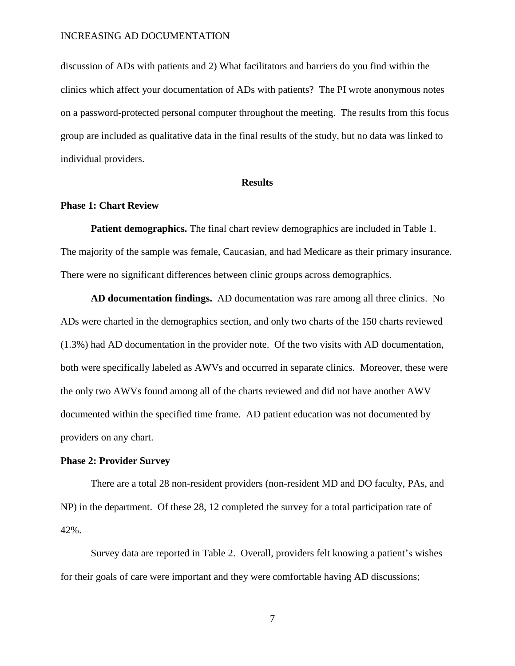discussion of ADs with patients and 2) What facilitators and barriers do you find within the clinics which affect your documentation of ADs with patients? The PI wrote anonymous notes on a password-protected personal computer throughout the meeting. The results from this focus group are included as qualitative data in the final results of the study, but no data was linked to individual providers.

#### **Results**

### **Phase 1: Chart Review**

**Patient demographics.** The final chart review demographics are included in Table 1. The majority of the sample was female, Caucasian, and had Medicare as their primary insurance. There were no significant differences between clinic groups across demographics.

**AD documentation findings.** AD documentation was rare among all three clinics. No ADs were charted in the demographics section, and only two charts of the 150 charts reviewed (1.3%) had AD documentation in the provider note. Of the two visits with AD documentation, both were specifically labeled as AWVs and occurred in separate clinics. Moreover, these were the only two AWVs found among all of the charts reviewed and did not have another AWV documented within the specified time frame. AD patient education was not documented by providers on any chart.

#### **Phase 2: Provider Survey**

There are a total 28 non-resident providers (non-resident MD and DO faculty, PAs, and NP) in the department. Of these 28, 12 completed the survey for a total participation rate of 42%.

Survey data are reported in Table 2. Overall, providers felt knowing a patient's wishes for their goals of care were important and they were comfortable having AD discussions;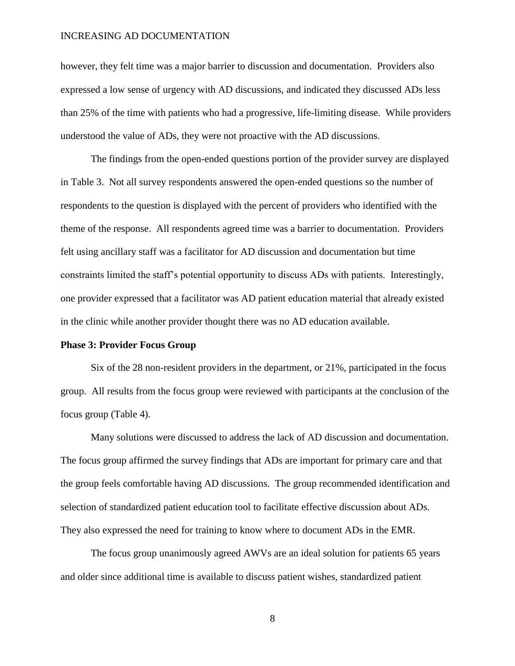however, they felt time was a major barrier to discussion and documentation. Providers also expressed a low sense of urgency with AD discussions, and indicated they discussed ADs less than 25% of the time with patients who had a progressive, life-limiting disease. While providers understood the value of ADs, they were not proactive with the AD discussions.

The findings from the open-ended questions portion of the provider survey are displayed in Table 3. Not all survey respondents answered the open-ended questions so the number of respondents to the question is displayed with the percent of providers who identified with the theme of the response. All respondents agreed time was a barrier to documentation. Providers felt using ancillary staff was a facilitator for AD discussion and documentation but time constraints limited the staff's potential opportunity to discuss ADs with patients. Interestingly, one provider expressed that a facilitator was AD patient education material that already existed in the clinic while another provider thought there was no AD education available.

#### **Phase 3: Provider Focus Group**

Six of the 28 non-resident providers in the department, or 21%, participated in the focus group. All results from the focus group were reviewed with participants at the conclusion of the focus group (Table 4).

Many solutions were discussed to address the lack of AD discussion and documentation. The focus group affirmed the survey findings that ADs are important for primary care and that the group feels comfortable having AD discussions. The group recommended identification and selection of standardized patient education tool to facilitate effective discussion about ADs. They also expressed the need for training to know where to document ADs in the EMR.

The focus group unanimously agreed AWVs are an ideal solution for patients 65 years and older since additional time is available to discuss patient wishes, standardized patient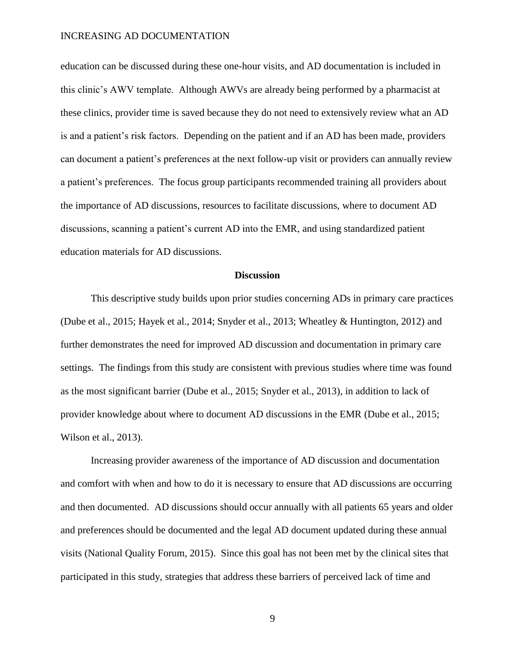education can be discussed during these one-hour visits, and AD documentation is included in this clinic's AWV template. Although AWVs are already being performed by a pharmacist at these clinics, provider time is saved because they do not need to extensively review what an AD is and a patient's risk factors. Depending on the patient and if an AD has been made, providers can document a patient's preferences at the next follow-up visit or providers can annually review a patient's preferences. The focus group participants recommended training all providers about the importance of AD discussions, resources to facilitate discussions, where to document AD discussions, scanning a patient's current AD into the EMR, and using standardized patient education materials for AD discussions.

#### **Discussion**

This descriptive study builds upon prior studies concerning ADs in primary care practices (Dube et al., 2015; Hayek et al., 2014; Snyder et al., 2013; Wheatley & Huntington, 2012) and further demonstrates the need for improved AD discussion and documentation in primary care settings. The findings from this study are consistent with previous studies where time was found as the most significant barrier (Dube et al., 2015; Snyder et al., 2013), in addition to lack of provider knowledge about where to document AD discussions in the EMR (Dube et al., 2015; Wilson et al., 2013).

Increasing provider awareness of the importance of AD discussion and documentation and comfort with when and how to do it is necessary to ensure that AD discussions are occurring and then documented. AD discussions should occur annually with all patients 65 years and older and preferences should be documented and the legal AD document updated during these annual visits (National Quality Forum, 2015). Since this goal has not been met by the clinical sites that participated in this study, strategies that address these barriers of perceived lack of time and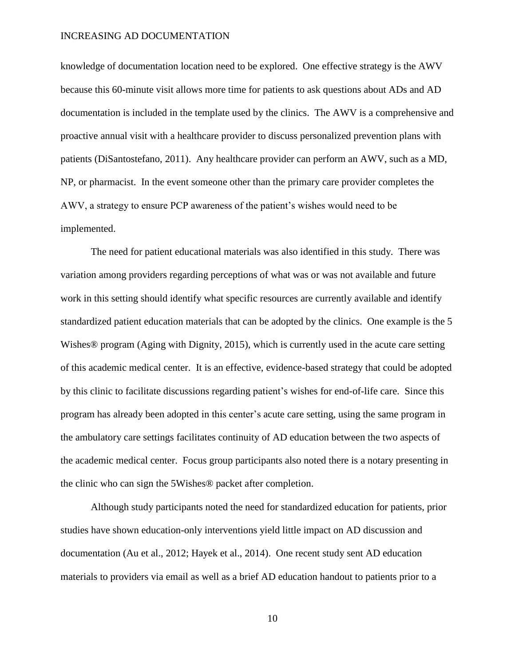knowledge of documentation location need to be explored. One effective strategy is the AWV because this 60-minute visit allows more time for patients to ask questions about ADs and AD documentation is included in the template used by the clinics. The AWV is a comprehensive and proactive annual visit with a healthcare provider to discuss personalized prevention plans with patients (DiSantostefano, 2011). Any healthcare provider can perform an AWV, such as a MD, NP, or pharmacist. In the event someone other than the primary care provider completes the AWV, a strategy to ensure PCP awareness of the patient's wishes would need to be implemented.

The need for patient educational materials was also identified in this study. There was variation among providers regarding perceptions of what was or was not available and future work in this setting should identify what specific resources are currently available and identify standardized patient education materials that can be adopted by the clinics. One example is the 5 Wishes<sup>®</sup> program (Aging with Dignity, 2015), which is currently used in the acute care setting of this academic medical center. It is an effective, evidence-based strategy that could be adopted by this clinic to facilitate discussions regarding patient's wishes for end-of-life care. Since this program has already been adopted in this center's acute care setting, using the same program in the ambulatory care settings facilitates continuity of AD education between the two aspects of the academic medical center. Focus group participants also noted there is a notary presenting in the clinic who can sign the 5Wishes® packet after completion.

Although study participants noted the need for standardized education for patients, prior studies have shown education-only interventions yield little impact on AD discussion and documentation (Au et al., 2012; Hayek et al., 2014). One recent study sent AD education materials to providers via email as well as a brief AD education handout to patients prior to a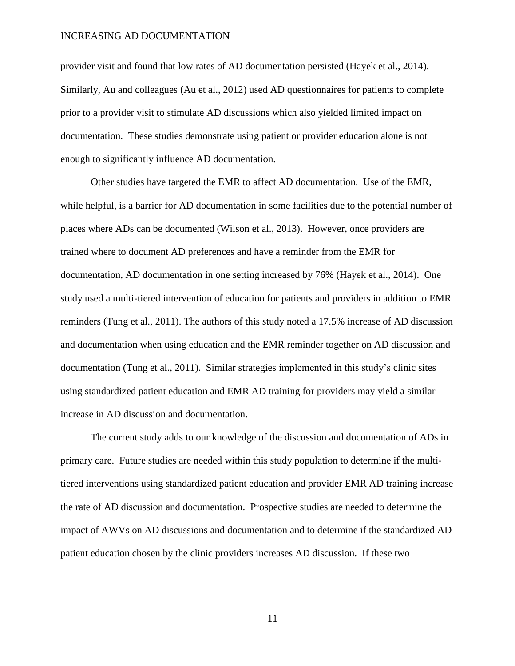provider visit and found that low rates of AD documentation persisted (Hayek et al., 2014). Similarly, Au and colleagues (Au et al., 2012) used AD questionnaires for patients to complete prior to a provider visit to stimulate AD discussions which also yielded limited impact on documentation. These studies demonstrate using patient or provider education alone is not enough to significantly influence AD documentation.

Other studies have targeted the EMR to affect AD documentation. Use of the EMR, while helpful, is a barrier for AD documentation in some facilities due to the potential number of places where ADs can be documented (Wilson et al., 2013). However, once providers are trained where to document AD preferences and have a reminder from the EMR for documentation, AD documentation in one setting increased by 76% (Hayek et al., 2014). One study used a multi-tiered intervention of education for patients and providers in addition to EMR reminders (Tung et al., 2011). The authors of this study noted a 17.5% increase of AD discussion and documentation when using education and the EMR reminder together on AD discussion and documentation (Tung et al., 2011). Similar strategies implemented in this study's clinic sites using standardized patient education and EMR AD training for providers may yield a similar increase in AD discussion and documentation.

The current study adds to our knowledge of the discussion and documentation of ADs in primary care. Future studies are needed within this study population to determine if the multitiered interventions using standardized patient education and provider EMR AD training increase the rate of AD discussion and documentation. Prospective studies are needed to determine the impact of AWVs on AD discussions and documentation and to determine if the standardized AD patient education chosen by the clinic providers increases AD discussion. If these two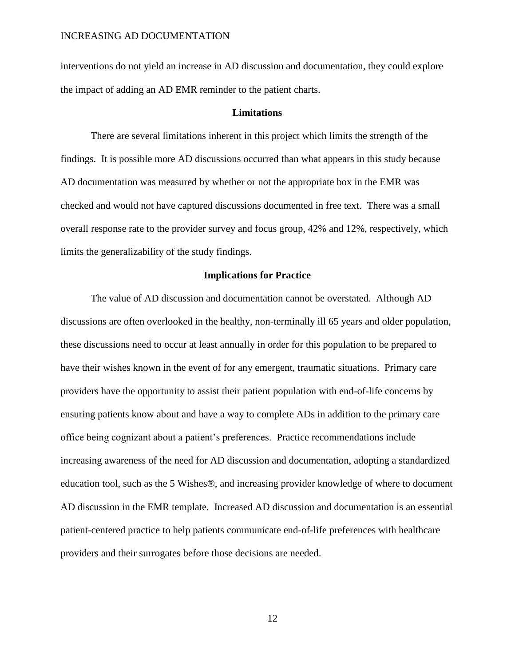interventions do not yield an increase in AD discussion and documentation, they could explore the impact of adding an AD EMR reminder to the patient charts.

### **Limitations**

There are several limitations inherent in this project which limits the strength of the findings. It is possible more AD discussions occurred than what appears in this study because AD documentation was measured by whether or not the appropriate box in the EMR was checked and would not have captured discussions documented in free text. There was a small overall response rate to the provider survey and focus group, 42% and 12%, respectively, which limits the generalizability of the study findings.

### **Implications for Practice**

The value of AD discussion and documentation cannot be overstated. Although AD discussions are often overlooked in the healthy, non-terminally ill 65 years and older population, these discussions need to occur at least annually in order for this population to be prepared to have their wishes known in the event of for any emergent, traumatic situations. Primary care providers have the opportunity to assist their patient population with end-of-life concerns by ensuring patients know about and have a way to complete ADs in addition to the primary care office being cognizant about a patient's preferences. Practice recommendations include increasing awareness of the need for AD discussion and documentation, adopting a standardized education tool, such as the 5 Wishes®, and increasing provider knowledge of where to document AD discussion in the EMR template. Increased AD discussion and documentation is an essential patient-centered practice to help patients communicate end-of-life preferences with healthcare providers and their surrogates before those decisions are needed.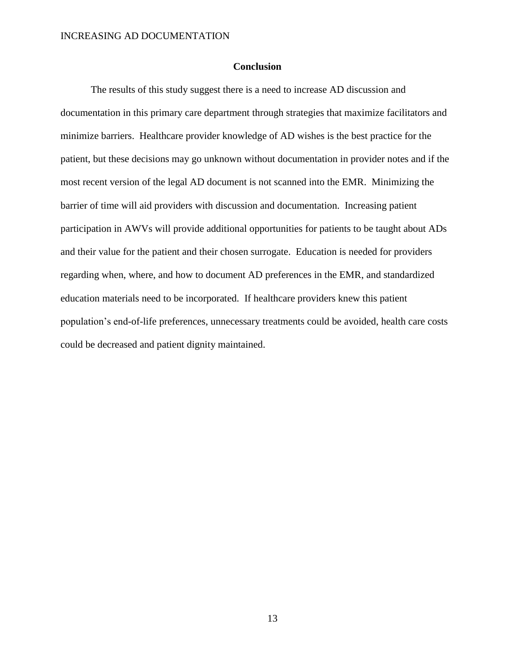### **Conclusion**

The results of this study suggest there is a need to increase AD discussion and documentation in this primary care department through strategies that maximize facilitators and minimize barriers. Healthcare provider knowledge of AD wishes is the best practice for the patient, but these decisions may go unknown without documentation in provider notes and if the most recent version of the legal AD document is not scanned into the EMR. Minimizing the barrier of time will aid providers with discussion and documentation. Increasing patient participation in AWVs will provide additional opportunities for patients to be taught about ADs and their value for the patient and their chosen surrogate. Education is needed for providers regarding when, where, and how to document AD preferences in the EMR, and standardized education materials need to be incorporated. If healthcare providers knew this patient population's end-of-life preferences, unnecessary treatments could be avoided, health care costs could be decreased and patient dignity maintained.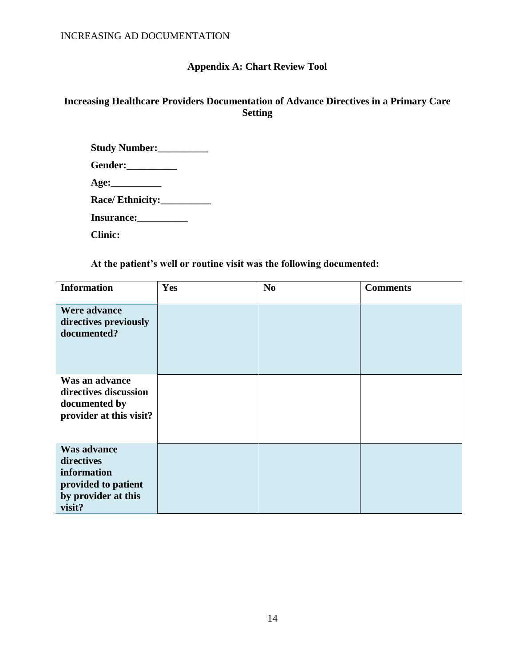# **Appendix A: Chart Review Tool**

## **Increasing Healthcare Providers Documentation of Advance Directives in a Primary Care Setting**

| Study Number:      |  |
|--------------------|--|
| Gender:___________ |  |
|                    |  |
| Race/ Ethnicity:   |  |
| Insurance:         |  |
| <b>Clinic:</b>     |  |

**At the patient's well or routine visit was the following documented:**

| <b>Information</b>                                                                                      | Yes | N <sub>0</sub> | <b>Comments</b> |
|---------------------------------------------------------------------------------------------------------|-----|----------------|-----------------|
| Were advance<br>directives previously<br>documented?                                                    |     |                |                 |
| Was an advance<br>directives discussion<br>documented by<br>provider at this visit?                     |     |                |                 |
| <b>Was advance</b><br>directives<br>information<br>provided to patient<br>by provider at this<br>visit? |     |                |                 |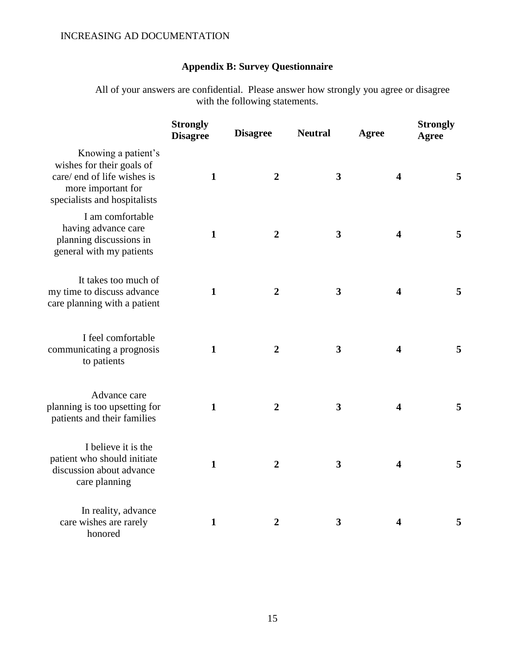# **Appendix B: Survey Questionnaire**

All of your answers are confidential. Please answer how strongly you agree or disagree with the following statements.

|                                                                                                                                       | <b>Strongly</b><br><b>Disagree</b> | <b>Disagree</b> | <b>Neutral</b> | <b>Agree</b>            | <b>Strongly</b><br><b>Agree</b> |
|---------------------------------------------------------------------------------------------------------------------------------------|------------------------------------|-----------------|----------------|-------------------------|---------------------------------|
| Knowing a patient's<br>wishes for their goals of<br>care/ end of life wishes is<br>more important for<br>specialists and hospitalists | $\mathbf{1}$                       | $\overline{2}$  | $\mathbf{3}$   | $\overline{\mathbf{4}}$ | 5                               |
| I am comfortable<br>having advance care<br>planning discussions in<br>general with my patients                                        | $\mathbf{1}$                       | $\overline{2}$  | $\mathbf{3}$   | $\overline{\mathbf{4}}$ | 5                               |
| It takes too much of<br>my time to discuss advance<br>care planning with a patient                                                    | $\mathbf{1}$                       | $\overline{2}$  | $\mathbf{3}$   | $\overline{\mathbf{4}}$ | 5                               |
| I feel comfortable<br>communicating a prognosis<br>to patients                                                                        | $\mathbf{1}$                       | $\overline{2}$  | $\mathbf{3}$   | 4                       | 5                               |
| Advance care<br>planning is too upsetting for<br>patients and their families                                                          | $\mathbf{1}$                       | $\overline{2}$  | $\mathbf{3}$   | $\overline{\mathbf{4}}$ | 5                               |
| I believe it is the<br>patient who should initiate<br>discussion about advance<br>care planning                                       | $\mathbf{1}$                       | $\overline{2}$  | $\mathbf{3}$   | $\overline{\mathbf{4}}$ | 5                               |
| In reality, advance<br>care wishes are rarely<br>honored                                                                              | $\mathbf{1}$                       | $\overline{2}$  | 3              | 4                       | 5                               |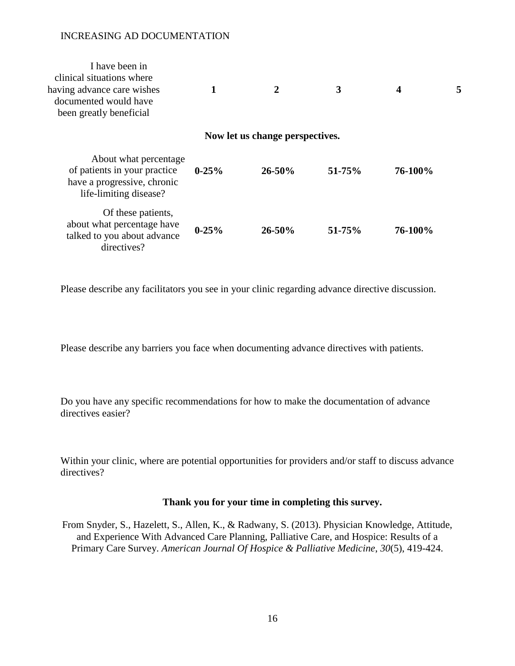| I have been in<br>clinical situations where<br>having advance care wishes<br>documented would have<br>been greatly beneficial |           | 2                               | 3          | 4       |  |
|-------------------------------------------------------------------------------------------------------------------------------|-----------|---------------------------------|------------|---------|--|
|                                                                                                                               |           | Now let us change perspectives. |            |         |  |
| About what percentage<br>of patients in your practice<br>have a progressive, chronic<br>life-limiting disease?                | $0-25%$   | $26 - 50%$                      | 51-75%     | 76-100% |  |
| Of these patients,<br>about what percentage have<br>talked to you about advance<br>directives?                                | $0 - 25%$ | $26 - 50\%$                     | $51 - 75%$ | 76-100% |  |

Please describe any facilitators you see in your clinic regarding advance directive discussion.

Please describe any barriers you face when documenting advance directives with patients.

Do you have any specific recommendations for how to make the documentation of advance directives easier?

Within your clinic, where are potential opportunities for providers and/or staff to discuss advance directives?

### **Thank you for your time in completing this survey.**

From Snyder, S., Hazelett, S., Allen, K., & Radwany, S. (2013). Physician Knowledge, Attitude, and Experience With Advanced Care Planning, Palliative Care, and Hospice: Results of a Primary Care Survey. *American Journal Of Hospice & Palliative Medicine*, *30*(5), 419-424.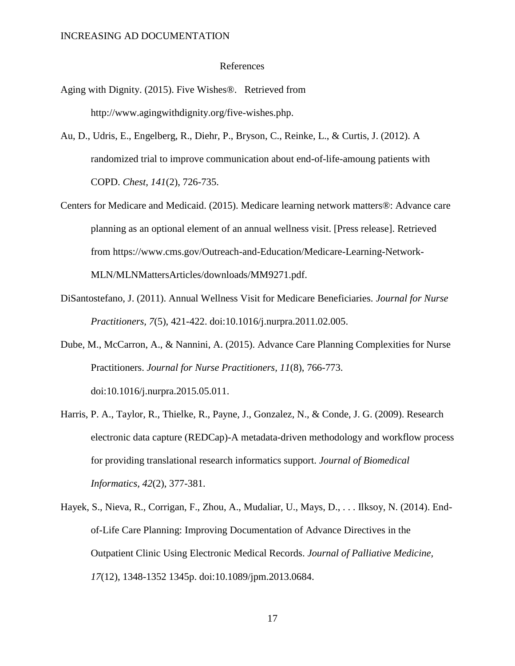#### References

- Aging with Dignity. (2015). Five Wishes®. Retrieved from http://www.agingwithdignity.org/five-wishes.php.
- Au, D., Udris, E., Engelberg, R., Diehr, P., Bryson, C., Reinke, L., & Curtis, J. (2012). A randomized trial to improve communication about end-of-life-amoung patients with COPD. *Chest, 141*(2), 726-735.
- Centers for Medicare and Medicaid. (2015). Medicare learning network matters®: Advance care planning as an optional element of an annual wellness visit. [Press release]. Retrieved from https://www.cms.gov/Outreach-and-Education/Medicare-Learning-Network-MLN/MLNMattersArticles/downloads/MM9271.pdf.
- DiSantostefano, J. (2011). Annual Wellness Visit for Medicare Beneficiaries. *Journal for Nurse Practitioners, 7*(5), 421-422. doi:10.1016/j.nurpra.2011.02.005.
- Dube, M., McCarron, A., & Nannini, A. (2015). Advance Care Planning Complexities for Nurse Practitioners. *Journal for Nurse Practitioners, 11*(8), 766-773. doi:10.1016/j.nurpra.2015.05.011.
- Harris, P. A., Taylor, R., Thielke, R., Payne, J., Gonzalez, N., & Conde, J. G. (2009). Research electronic data capture (REDCap)-A metadata-driven methodology and workflow process for providing translational research informatics support. *Journal of Biomedical Informatics, 42*(2), 377-381.
- Hayek, S., Nieva, R., Corrigan, F., Zhou, A., Mudaliar, U., Mays, D., . . . Ilksoy, N. (2014). Endof-Life Care Planning: Improving Documentation of Advance Directives in the Outpatient Clinic Using Electronic Medical Records. *Journal of Palliative Medicine, 17*(12), 1348-1352 1345p. doi:10.1089/jpm.2013.0684.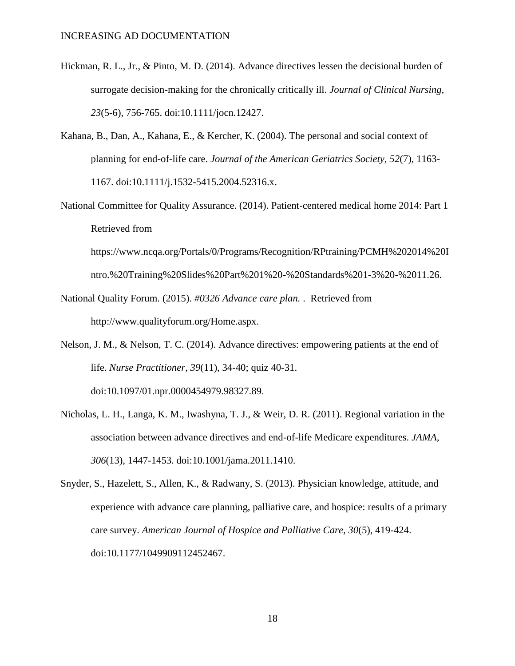- Hickman, R. L., Jr., & Pinto, M. D. (2014). Advance directives lessen the decisional burden of surrogate decision-making for the chronically critically ill. *Journal of Clinical Nursing, 23*(5-6), 756-765. doi:10.1111/jocn.12427.
- Kahana, B., Dan, A., Kahana, E., & Kercher, K. (2004). The personal and social context of planning for end-of-life care. *Journal of the American Geriatrics Society, 52*(7), 1163- 1167. doi:10.1111/j.1532-5415.2004.52316.x.
- National Committee for Quality Assurance. (2014). Patient-centered medical home 2014: Part 1 Retrieved from

https://www.ncqa.org/Portals/0/Programs/Recognition/RPtraining/PCMH%202014%20I ntro.%20Training%20Slides%20Part%201%20-%20Standards%201-3%20-%2011.26.

- National Quality Forum. (2015). *#0326 Advance care plan.* . Retrieved from http://www.qualityforum.org/Home.aspx.
- Nelson, J. M., & Nelson, T. C. (2014). Advance directives: empowering patients at the end of life. *Nurse Practitioner, 39*(11), 34-40; quiz 40-31. doi:10.1097/01.npr.0000454979.98327.89.
- Nicholas, L. H., Langa, K. M., Iwashyna, T. J., & Weir, D. R. (2011). Regional variation in the association between advance directives and end-of-life Medicare expenditures. *JAMA, 306*(13), 1447-1453. doi:10.1001/jama.2011.1410.
- Snyder, S., Hazelett, S., Allen, K., & Radwany, S. (2013). Physician knowledge, attitude, and experience with advance care planning, palliative care, and hospice: results of a primary care survey. *American Journal of Hospice and Palliative Care, 30*(5), 419-424. doi:10.1177/1049909112452467.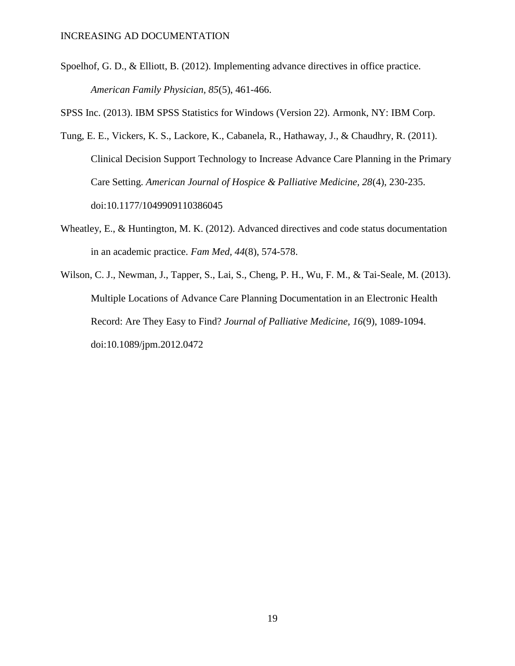Spoelhof, G. D., & Elliott, B. (2012). Implementing advance directives in office practice. *American Family Physician, 85*(5), 461-466.

SPSS Inc. (2013). IBM SPSS Statistics for Windows (Version 22). Armonk, NY: IBM Corp.

- Tung, E. E., Vickers, K. S., Lackore, K., Cabanela, R., Hathaway, J., & Chaudhry, R. (2011). Clinical Decision Support Technology to Increase Advance Care Planning in the Primary Care Setting. *American Journal of Hospice & Palliative Medicine, 28*(4), 230-235. doi:10.1177/1049909110386045
- Wheatley, E., & Huntington, M. K. (2012). Advanced directives and code status documentation in an academic practice. *Fam Med, 44*(8), 574-578.
- Wilson, C. J., Newman, J., Tapper, S., Lai, S., Cheng, P. H., Wu, F. M., & Tai-Seale, M. (2013). Multiple Locations of Advance Care Planning Documentation in an Electronic Health Record: Are They Easy to Find? *Journal of Palliative Medicine, 16*(9), 1089-1094. doi:10.1089/jpm.2012.0472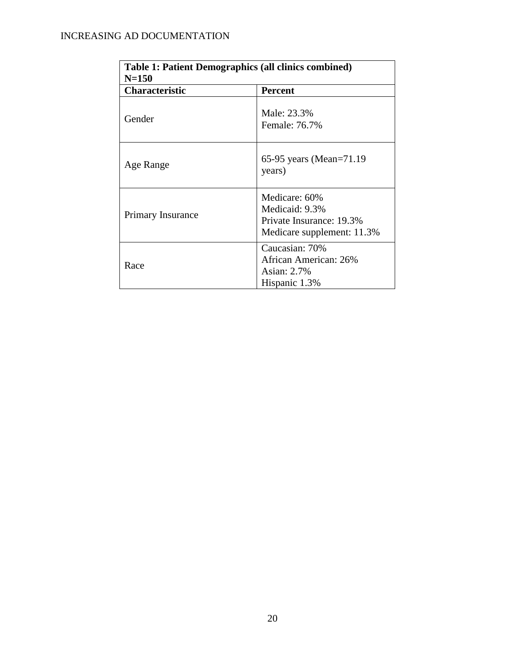| <b>Table 1: Patient Demographics (all clinics combined)</b> |                                                                                           |  |  |
|-------------------------------------------------------------|-------------------------------------------------------------------------------------------|--|--|
| $N = 150$                                                   |                                                                                           |  |  |
| <b>Characteristic</b>                                       | <b>Percent</b>                                                                            |  |  |
| Gender                                                      | Male: 23.3%<br>Female: 76.7%                                                              |  |  |
| Age Range                                                   | 65-95 years (Mean=71.19)<br>years)                                                        |  |  |
| <b>Primary Insurance</b>                                    | Medicare: 60%<br>Medicaid: 9.3%<br>Private Insurance: 19.3%<br>Medicare supplement: 11.3% |  |  |
| Race                                                        | Caucasian: 70%<br>African American: 26%<br>Asian: 2.7%<br>Hispanic 1.3%                   |  |  |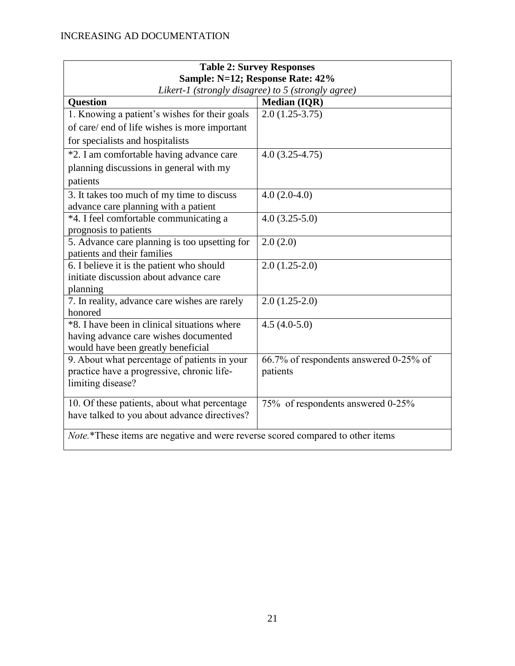| <b>Table 2: Survey Responses</b>                                               |                                        |  |  |
|--------------------------------------------------------------------------------|----------------------------------------|--|--|
| Sample: N=12; Response Rate: 42%                                               |                                        |  |  |
| Likert-1 (strongly disagree) to 5 (strongly agree)                             |                                        |  |  |
| <b>Question</b><br><b>Median (IQR)</b>                                         |                                        |  |  |
| 1. Knowing a patient's wishes for their goals                                  | $2.0(1.25-3.75)$                       |  |  |
| of care/ end of life wishes is more important                                  |                                        |  |  |
| for specialists and hospitalists                                               |                                        |  |  |
| *2. I am comfortable having advance care                                       | $4.0(3.25-4.75)$                       |  |  |
| planning discussions in general with my                                        |                                        |  |  |
| patients                                                                       |                                        |  |  |
| 3. It takes too much of my time to discuss                                     | $4.0(2.0-4.0)$                         |  |  |
| advance care planning with a patient                                           |                                        |  |  |
| *4. I feel comfortable communicating a                                         | $4.0(3.25-5.0)$                        |  |  |
| prognosis to patients                                                          |                                        |  |  |
| 5. Advance care planning is too upsetting for<br>patients and their families   | 2.0(2.0)                               |  |  |
| 6. I believe it is the patient who should                                      | $2.0(1.25-2.0)$                        |  |  |
| initiate discussion about advance care                                         |                                        |  |  |
| planning                                                                       |                                        |  |  |
| 7. In reality, advance care wishes are rarely                                  | $2.0(1.25-2.0)$                        |  |  |
| honored                                                                        |                                        |  |  |
| *8. I have been in clinical situations where<br>$4.5(4.0-5.0)$                 |                                        |  |  |
| having advance care wishes documented                                          |                                        |  |  |
| would have been greatly beneficial                                             |                                        |  |  |
| 9. About what percentage of patients in your                                   | 66.7% of respondents answered 0-25% of |  |  |
| practice have a progressive, chronic life-<br>limiting disease?                | patients                               |  |  |
|                                                                                |                                        |  |  |
| 10. Of these patients, about what percentage                                   | 75% of respondents answered 0-25%      |  |  |
| have talked to you about advance directives?                                   |                                        |  |  |
| Note.*These items are negative and were reverse scored compared to other items |                                        |  |  |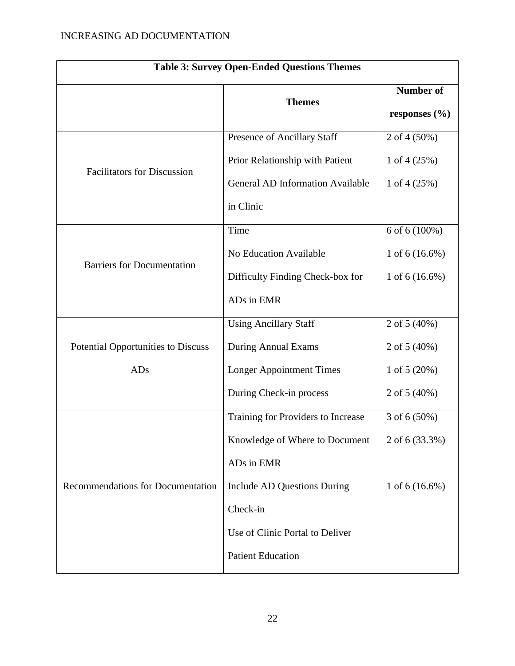| <b>Table 3: Survey Open-Ended Questions Themes</b> |                                         |                   |  |
|----------------------------------------------------|-----------------------------------------|-------------------|--|
|                                                    | <b>Themes</b>                           | <b>Number of</b>  |  |
|                                                    |                                         | responses $(\% )$ |  |
|                                                    | Presence of Ancillary Staff             | 2 of 4 (50%)      |  |
| <b>Facilitators for Discussion</b>                 | Prior Relationship with Patient         | 1 of $4(25%)$     |  |
|                                                    | <b>General AD Information Available</b> | 1 of $4(25%)$     |  |
|                                                    | in Clinic                               |                   |  |
|                                                    | Time                                    | 6 of 6 (100%)     |  |
|                                                    | No Education Available                  | 1 of $6(16.6\%)$  |  |
| <b>Barriers for Documentation</b>                  | Difficulty Finding Check-box for        | 1 of $6(16.6\%)$  |  |
|                                                    | ADs in EMR                              |                   |  |
|                                                    | <b>Using Ancillary Staff</b>            | 2 of 5 (40%)      |  |
| <b>Potential Opportunities to Discuss</b>          | During Annual Exams                     | 2 of $5(40%)$     |  |
| <b>ADs</b>                                         | <b>Longer Appointment Times</b>         | 1 of $5(20%)$     |  |
|                                                    | During Check-in process                 | 2 of $5(40%)$     |  |
|                                                    | Training for Providers to Increase      | 3 of 6 (50%)      |  |
|                                                    | Knowledge of Where to Document          | 2 of 6 (33.3%)    |  |
|                                                    | ADs in EMR                              |                   |  |
| Recommendations for Documentation                  | Include AD Questions During             | 1 of $6(16.6\%)$  |  |
|                                                    | Check-in                                |                   |  |
|                                                    | Use of Clinic Portal to Deliver         |                   |  |
|                                                    | <b>Patient Education</b>                |                   |  |